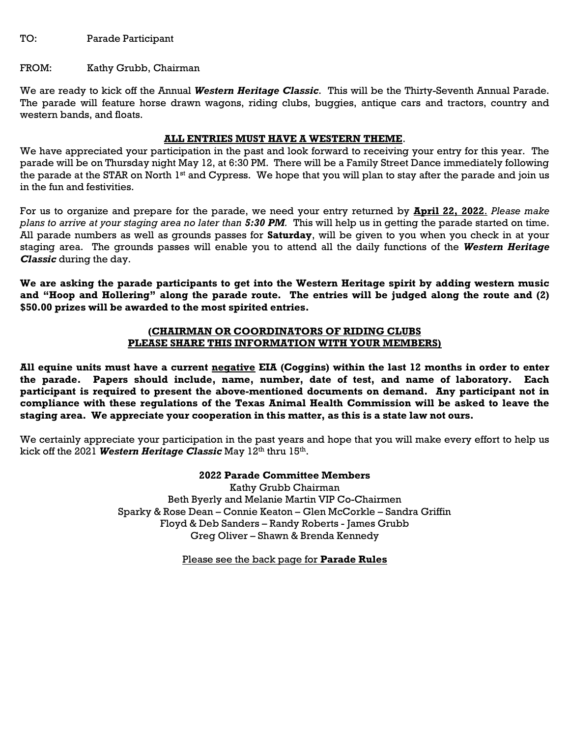TO: Parade Participant

#### FROM: Kathy Grubb, Chairman

We are ready to kick off the Annual Western Heritage Classic. This will be the Thirty-Seventh Annual Parade. The parade will feature horse drawn wagons, riding clubs, buggies, antique cars and tractors, country and western bands, and floats.

### ALL ENTRIES MUST HAVE A WESTERN THEME.

We have appreciated your participation in the past and look forward to receiving your entry for this year. The parade will be on Thursday night May 12, at 6:30 PM. There will be a Family Street Dance immediately following the parade at the STAR on North 1<sup>st</sup> and Cypress. We hope that you will plan to stay after the parade and join us in the fun and festivities.

For us to organize and prepare for the parade, we need your entry returned by **April 22, 2022**. Please make plans to arrive at your staging area no later than 5:30 PM. This will help us in getting the parade started on time. All parade numbers as well as grounds passes for Saturday, will be given to you when you check in at your staging area. The grounds passes will enable you to attend all the daily functions of the Western Heritage Classic during the day.

We are asking the parade participants to get into the Western Heritage spirit by adding western music and "Hoop and Hollering" along the parade route. The entries will be judged along the route and (2) \$50.00 prizes will be awarded to the most spirited entries.

#### (CHAIRMAN OR COORDINATORS OF RIDING CLUBS PLEASE SHARE THIS INFORMATION WITH YOUR MEMBERS)

All equine units must have a current negative EIA (Coggins) within the last 12 months in order to enter the parade. Papers should include, name, number, date of test, and name of laboratory. Each participant is required to present the above-mentioned documents on demand. Any participant not in compliance with these regulations of the Texas Animal Health Commission will be asked to leave the staging area. We appreciate your cooperation in this matter, as this is a state law not ours.

We certainly appreciate your participation in the past years and hope that you will make every effort to help us kick off the 2021 Western Heritage Classic May 12th thru 15th.

> 2022 Parade Committee Members Kathy Grubb Chairman Beth Byerly and Melanie Martin VIP Co-Chairmen Sparky & Rose Dean – Connie Keaton – Glen McCorkle – Sandra Griffin Floyd & Deb Sanders – Randy Roberts - James Grubb Greg Oliver – Shawn & Brenda Kennedy

### Please see the back page for **Parade Rules**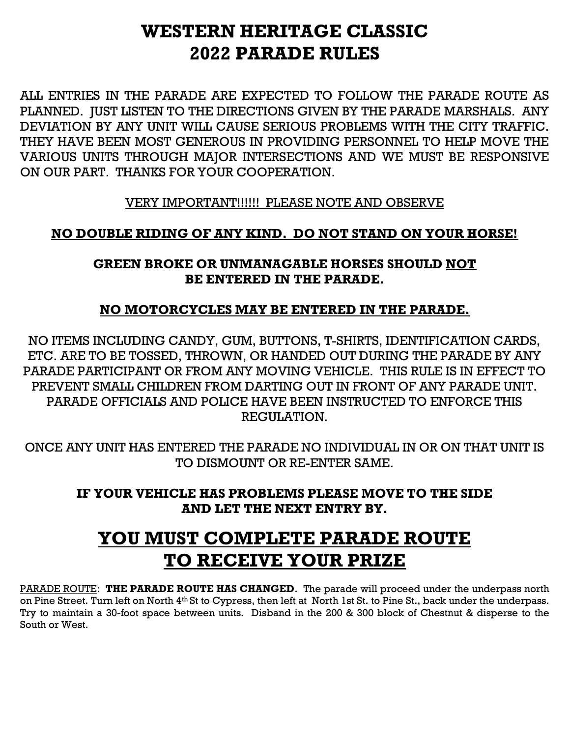## WESTERN HERITAGE CLASSIC 2022 PARADE RULES

ALL ENTRIES IN THE PARADE ARE EXPECTED TO FOLLOW THE PARADE ROUTE AS PLANNED. JUST LISTEN TO THE DIRECTIONS GIVEN BY THE PARADE MARSHALS. ANY DEVIATION BY ANY UNIT WILL CAUSE SERIOUS PROBLEMS WITH THE CITY TRAFFIC. THEY HAVE BEEN MOST GENEROUS IN PROVIDING PERSONNEL TO HELP MOVE THE VARIOUS UNITS THROUGH MAJOR INTERSECTIONS AND WE MUST BE RESPONSIVE ON OUR PART. THANKS FOR YOUR COOPERATION.

VERY IMPORTANT!!!!!! PLEASE NOTE AND OBSERVE

## NO DOUBLE RIDING OF ANY KIND. DO NOT STAND ON YOUR HORSE!

## GREEN BROKE OR UNMANAGABLE HORSES SHOULD NOT BE ENTERED IN THE PARADE.

### NO MOTORCYCLES MAY BE ENTERED IN THE PARADE.

NO ITEMS INCLUDING CANDY, GUM, BUTTONS, T-SHIRTS, IDENTIFICATION CARDS, ETC. ARE TO BE TOSSED, THROWN, OR HANDED OUT DURING THE PARADE BY ANY PARADE PARTICIPANT OR FROM ANY MOVING VEHICLE. THIS RULE IS IN EFFECT TO PREVENT SMALL CHILDREN FROM DARTING OUT IN FRONT OF ANY PARADE UNIT. PARADE OFFICIALS AND POLICE HAVE BEEN INSTRUCTED TO ENFORCE THIS REGULATION.

ONCE ANY UNIT HAS ENTERED THE PARADE NO INDIVIDUAL IN OR ON THAT UNIT IS TO DISMOUNT OR RE-ENTER SAME.

IF YOUR VEHICLE HAS PROBLEMS PLEASE MOVE TO THE SIDE AND LET THE NEXT ENTRY BY.

# YOU MUST COMPLETE PARADE ROUTE TO RECEIVE YOUR PRIZE

PARADE ROUTE: THE PARADE ROUTE HAS CHANGED. The parade will proceed under the underpass north on Pine Street. Turn left on North 4th St to Cypress, then left at North 1st St. to Pine St., back under the underpass. Try to maintain a 30-foot space between units. Disband in the 200 & 300 block of Chestnut & disperse to the South or West.